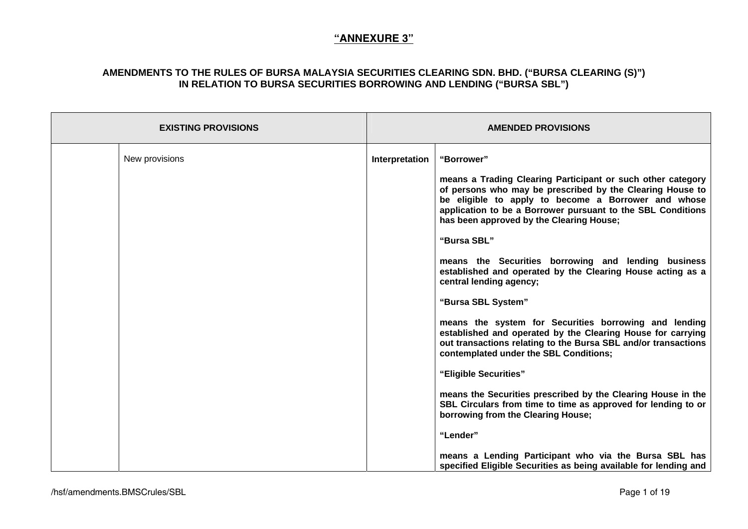| <b>EXISTING PROVISIONS</b> |                | <b>AMENDED PROVISIONS</b>                                                                                                                                                                                                                                                                  |
|----------------------------|----------------|--------------------------------------------------------------------------------------------------------------------------------------------------------------------------------------------------------------------------------------------------------------------------------------------|
| New provisions             | Interpretation | "Borrower"                                                                                                                                                                                                                                                                                 |
|                            |                | means a Trading Clearing Participant or such other category<br>of persons who may be prescribed by the Clearing House to<br>be eligible to apply to become a Borrower and whose<br>application to be a Borrower pursuant to the SBL Conditions<br>has been approved by the Clearing House; |
|                            |                | "Bursa SBL"                                                                                                                                                                                                                                                                                |
|                            |                | means the Securities borrowing and lending business<br>established and operated by the Clearing House acting as a<br>central lending agency;                                                                                                                                               |
|                            |                | "Bursa SBL System"                                                                                                                                                                                                                                                                         |
|                            |                | means the system for Securities borrowing and lending<br>established and operated by the Clearing House for carrying<br>out transactions relating to the Bursa SBL and/or transactions<br>contemplated under the SBL Conditions;                                                           |
|                            |                | "Eligible Securities"                                                                                                                                                                                                                                                                      |
|                            |                | means the Securities prescribed by the Clearing House in the<br>SBL Circulars from time to time as approved for lending to or<br>borrowing from the Clearing House;                                                                                                                        |
|                            |                | "Lender"                                                                                                                                                                                                                                                                                   |
|                            |                | means a Lending Participant who via the Bursa SBL has<br>specified Eligible Securities as being available for lending and                                                                                                                                                                  |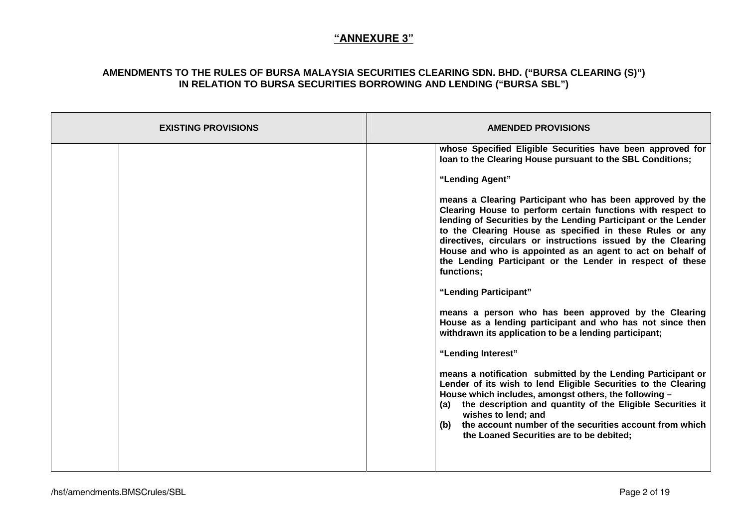| <b>EXISTING PROVISIONS</b> | <b>AMENDED PROVISIONS</b>                                                                                                                                                                                                                                                                                                                                                                                                                                       |
|----------------------------|-----------------------------------------------------------------------------------------------------------------------------------------------------------------------------------------------------------------------------------------------------------------------------------------------------------------------------------------------------------------------------------------------------------------------------------------------------------------|
|                            | whose Specified Eligible Securities have been approved for<br>loan to the Clearing House pursuant to the SBL Conditions;                                                                                                                                                                                                                                                                                                                                        |
|                            | "Lending Agent"                                                                                                                                                                                                                                                                                                                                                                                                                                                 |
|                            | means a Clearing Participant who has been approved by the<br>Clearing House to perform certain functions with respect to<br>lending of Securities by the Lending Participant or the Lender<br>to the Clearing House as specified in these Rules or any<br>directives, circulars or instructions issued by the Clearing<br>House and who is appointed as an agent to act on behalf of<br>the Lending Participant or the Lender in respect of these<br>functions; |
|                            | "Lending Participant"                                                                                                                                                                                                                                                                                                                                                                                                                                           |
|                            | means a person who has been approved by the Clearing<br>House as a lending participant and who has not since then<br>withdrawn its application to be a lending participant;                                                                                                                                                                                                                                                                                     |
|                            | "Lending Interest"                                                                                                                                                                                                                                                                                                                                                                                                                                              |
|                            | means a notification submitted by the Lending Participant or<br>Lender of its wish to lend Eligible Securities to the Clearing<br>House which includes, amongst others, the following -<br>the description and quantity of the Eligible Securities it<br>(a)<br>wishes to lend; and<br>(b) the account number of the securities account from which<br>the Loaned Securities are to be debited;                                                                  |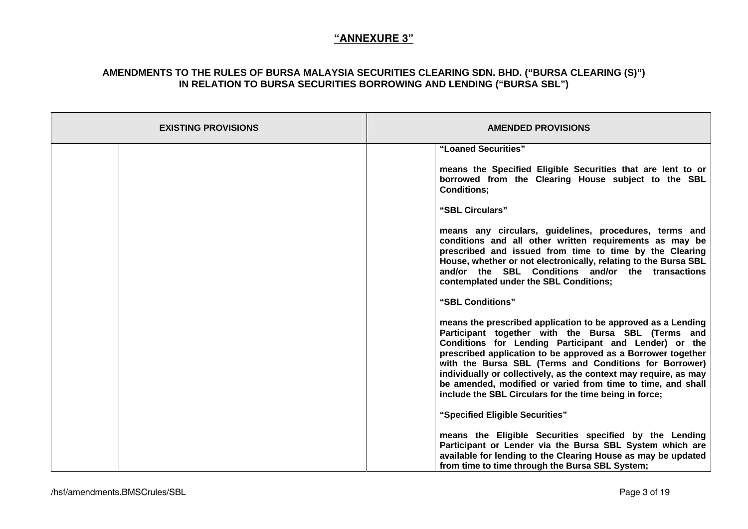| <b>EXISTING PROVISIONS</b> | <b>AMENDED PROVISIONS</b>                                                                                                                                                                                                                                                                                                                                                                                                                                                                          |
|----------------------------|----------------------------------------------------------------------------------------------------------------------------------------------------------------------------------------------------------------------------------------------------------------------------------------------------------------------------------------------------------------------------------------------------------------------------------------------------------------------------------------------------|
|                            | "Loaned Securities"                                                                                                                                                                                                                                                                                                                                                                                                                                                                                |
|                            | means the Specified Eligible Securities that are lent to or<br>borrowed from the Clearing House subject to the SBL<br><b>Conditions;</b>                                                                                                                                                                                                                                                                                                                                                           |
|                            | "SBL Circulars"                                                                                                                                                                                                                                                                                                                                                                                                                                                                                    |
|                            | means any circulars, guidelines, procedures, terms and<br>conditions and all other written requirements as may be<br>prescribed and issued from time to time by the Clearing<br>House, whether or not electronically, relating to the Bursa SBL<br>and/or the SBL Conditions and/or the transactions<br>contemplated under the SBL Conditions;                                                                                                                                                     |
|                            | "SBL Conditions"                                                                                                                                                                                                                                                                                                                                                                                                                                                                                   |
|                            | means the prescribed application to be approved as a Lending<br>Participant together with the Bursa SBL (Terms and<br>Conditions for Lending Participant and Lender) or the<br>prescribed application to be approved as a Borrower together<br>with the Bursa SBL (Terms and Conditions for Borrower)<br>individually or collectively, as the context may require, as may<br>be amended, modified or varied from time to time, and shall<br>include the SBL Circulars for the time being in force; |
|                            | "Specified Eligible Securities"                                                                                                                                                                                                                                                                                                                                                                                                                                                                    |
|                            | means the Eligible Securities specified by the Lending<br>Participant or Lender via the Bursa SBL System which are<br>available for lending to the Clearing House as may be updated<br>from time to time through the Bursa SBL System;                                                                                                                                                                                                                                                             |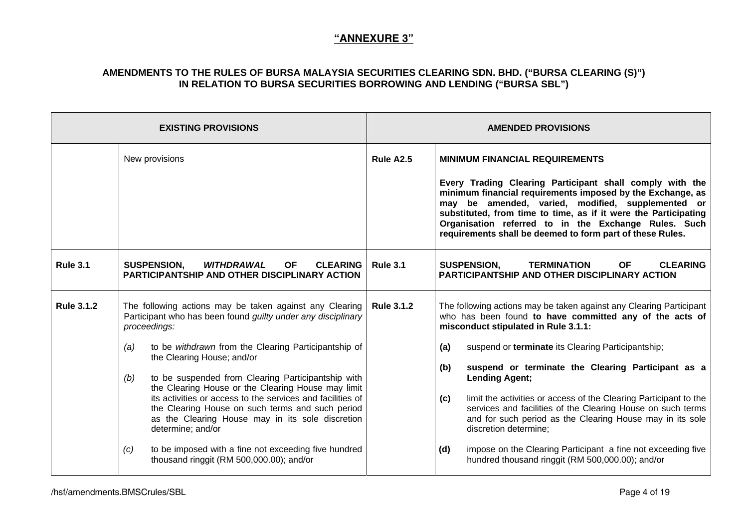|                   | <b>EXISTING PROVISIONS</b>                                                                                                                                                                                                                                                                                                                                                                                                                                                                                                                                                                                                                                                 |                 | <b>AMENDED PROVISIONS</b>                                                                                                                                                                                                                                                                                                                                                                                                                                                                                                                                                                                                                                                             |
|-------------------|----------------------------------------------------------------------------------------------------------------------------------------------------------------------------------------------------------------------------------------------------------------------------------------------------------------------------------------------------------------------------------------------------------------------------------------------------------------------------------------------------------------------------------------------------------------------------------------------------------------------------------------------------------------------------|-----------------|---------------------------------------------------------------------------------------------------------------------------------------------------------------------------------------------------------------------------------------------------------------------------------------------------------------------------------------------------------------------------------------------------------------------------------------------------------------------------------------------------------------------------------------------------------------------------------------------------------------------------------------------------------------------------------------|
|                   | New provisions                                                                                                                                                                                                                                                                                                                                                                                                                                                                                                                                                                                                                                                             | Rule A2.5       | <b>MINIMUM FINANCIAL REQUIREMENTS</b><br>Every Trading Clearing Participant shall comply with the<br>minimum financial requirements imposed by the Exchange, as<br>may be amended, varied, modified, supplemented or<br>substituted, from time to time, as if it were the Participating<br>Organisation referred to in the Exchange Rules. Such<br>requirements shall be deemed to form part of these Rules.                                                                                                                                                                                                                                                                          |
| <b>Rule 3.1</b>   | WITHDRAWAL<br><b>CLEARING</b><br><b>SUSPENSION,</b><br>OF.<br><b>PARTICIPANTSHIP AND OTHER DISCIPLINARY ACTION</b>                                                                                                                                                                                                                                                                                                                                                                                                                                                                                                                                                         | <b>Rule 3.1</b> | <b>SUSPENSION,</b><br><b>TERMINATION</b><br><b>CLEARING</b><br>OF.<br><b>PARTICIPANTSHIP AND OTHER DISCIPLINARY ACTION</b>                                                                                                                                                                                                                                                                                                                                                                                                                                                                                                                                                            |
| <b>Rule 3.1.2</b> | The following actions may be taken against any Clearing   Rule 3.1.2<br>Participant who has been found guilty under any disciplinary<br>proceedings:<br>to be withdrawn from the Clearing Participantship of<br>(a)<br>the Clearing House; and/or<br>to be suspended from Clearing Participantship with<br>(b)<br>the Clearing House or the Clearing House may limit<br>its activities or access to the services and facilities of<br>the Clearing House on such terms and such period<br>as the Clearing House may in its sole discretion<br>determine; and/or<br>to be imposed with a fine not exceeding five hundred<br>(c)<br>thousand ringgit (RM 500,000.00); and/or |                 | The following actions may be taken against any Clearing Participant<br>who has been found to have committed any of the acts of<br>misconduct stipulated in Rule 3.1.1:<br>(a)<br>suspend or terminate its Clearing Participantship;<br>(b)<br>suspend or terminate the Clearing Participant as a<br><b>Lending Agent;</b><br>limit the activities or access of the Clearing Participant to the<br>(c)<br>services and facilities of the Clearing House on such terms<br>and for such period as the Clearing House may in its sole<br>discretion determine;<br>impose on the Clearing Participant a fine not exceeding five<br>(d)<br>hundred thousand ringgit (RM 500,000.00); and/or |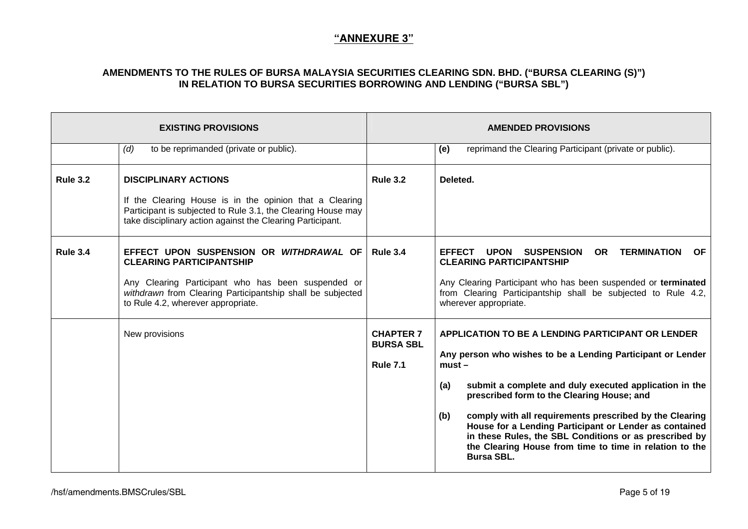|                 | <b>EXISTING PROVISIONS</b>                                                                                                                                                                                                           |                                                         | <b>AMENDED PROVISIONS</b>                                                                                                                                                                                                                                                                                                                                                                                                                                                                                         |
|-----------------|--------------------------------------------------------------------------------------------------------------------------------------------------------------------------------------------------------------------------------------|---------------------------------------------------------|-------------------------------------------------------------------------------------------------------------------------------------------------------------------------------------------------------------------------------------------------------------------------------------------------------------------------------------------------------------------------------------------------------------------------------------------------------------------------------------------------------------------|
|                 | to be reprimanded (private or public).<br>(d)                                                                                                                                                                                        |                                                         | reprimand the Clearing Participant (private or public).<br>(e)                                                                                                                                                                                                                                                                                                                                                                                                                                                    |
| <b>Rule 3.2</b> | <b>DISCIPLINARY ACTIONS</b><br>If the Clearing House is in the opinion that a Clearing<br>Participant is subjected to Rule 3.1, the Clearing House may<br>take disciplinary action against the Clearing Participant.                 | <b>Rule 3.2</b>                                         | Deleted.                                                                                                                                                                                                                                                                                                                                                                                                                                                                                                          |
| <b>Rule 3.4</b> | EFFECT UPON SUSPENSION OR WITHDRAWAL OF<br><b>CLEARING PARTICIPANTSHIP</b><br>Any Clearing Participant who has been suspended or<br>withdrawn from Clearing Participantship shall be subjected<br>to Rule 4.2, wherever appropriate. | <b>Rule 3.4</b>                                         | <b>TERMINATION</b><br>EFFECT UPON<br><b>SUSPENSION</b><br><b>OR</b><br>OF.<br><b>CLEARING PARTICIPANTSHIP</b><br>Any Clearing Participant who has been suspended or terminated<br>from Clearing Participantship shall be subjected to Rule 4.2,<br>wherever appropriate.                                                                                                                                                                                                                                          |
|                 | New provisions                                                                                                                                                                                                                       | <b>CHAPTER 7</b><br><b>BURSA SBL</b><br><b>Rule 7.1</b> | APPLICATION TO BE A LENDING PARTICIPANT OR LENDER<br>Any person who wishes to be a Lending Participant or Lender<br>$must -$<br>submit a complete and duly executed application in the<br>(a)<br>prescribed form to the Clearing House; and<br>comply with all requirements prescribed by the Clearing<br>(b)<br>House for a Lending Participant or Lender as contained<br>in these Rules, the SBL Conditions or as prescribed by<br>the Clearing House from time to time in relation to the<br><b>Bursa SBL.</b> |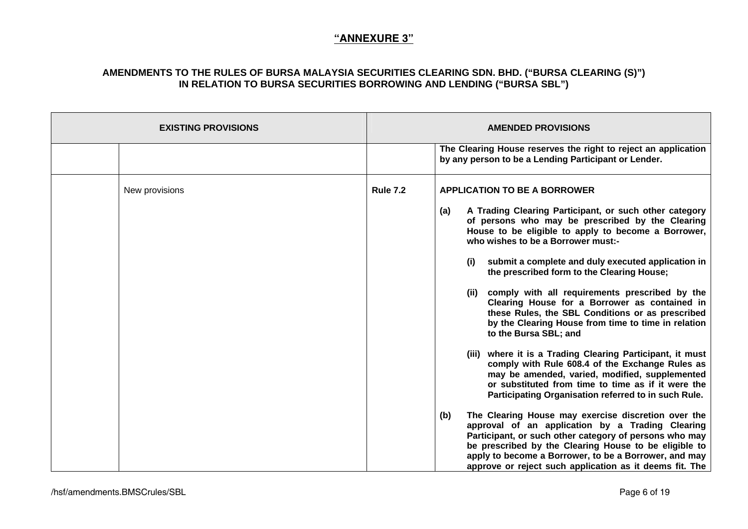| <b>EXISTING PROVISIONS</b> |                 | <b>AMENDED PROVISIONS</b>                                                                                                                                                                                                                                                                                                                             |
|----------------------------|-----------------|-------------------------------------------------------------------------------------------------------------------------------------------------------------------------------------------------------------------------------------------------------------------------------------------------------------------------------------------------------|
|                            |                 | The Clearing House reserves the right to reject an application<br>by any person to be a Lending Participant or Lender.                                                                                                                                                                                                                                |
| New provisions             | <b>Rule 7.2</b> | <b>APPLICATION TO BE A BORROWER</b>                                                                                                                                                                                                                                                                                                                   |
|                            |                 | A Trading Clearing Participant, or such other category<br>(a)<br>of persons who may be prescribed by the Clearing<br>House to be eligible to apply to become a Borrower,<br>who wishes to be a Borrower must:-                                                                                                                                        |
|                            |                 | submit a complete and duly executed application in<br>(i)<br>the prescribed form to the Clearing House;                                                                                                                                                                                                                                               |
|                            |                 | comply with all requirements prescribed by the<br>(ii)<br>Clearing House for a Borrower as contained in<br>these Rules, the SBL Conditions or as prescribed<br>by the Clearing House from time to time in relation<br>to the Bursa SBL; and                                                                                                           |
|                            |                 | (iii) where it is a Trading Clearing Participant, it must<br>comply with Rule 608.4 of the Exchange Rules as<br>may be amended, varied, modified, supplemented<br>or substituted from time to time as if it were the<br>Participating Organisation referred to in such Rule.                                                                          |
|                            |                 | The Clearing House may exercise discretion over the<br>(b)<br>approval of an application by a Trading Clearing<br>Participant, or such other category of persons who may<br>be prescribed by the Clearing House to be eligible to<br>apply to become a Borrower, to be a Borrower, and may<br>approve or reject such application as it deems fit. The |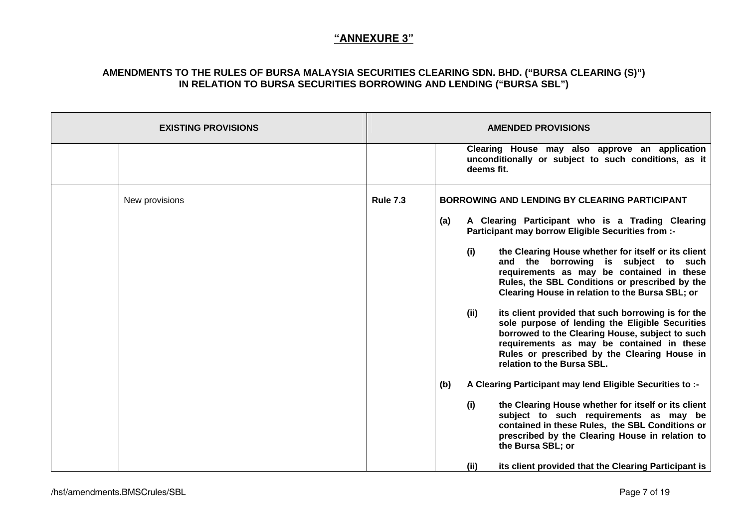| <b>EXISTING PROVISIONS</b> |                 | <b>AMENDED PROVISIONS</b>                                                                                                                                                                                                                                                                   |
|----------------------------|-----------------|---------------------------------------------------------------------------------------------------------------------------------------------------------------------------------------------------------------------------------------------------------------------------------------------|
|                            |                 | Clearing House may also approve an application<br>unconditionally or subject to such conditions, as it<br>deems fit.                                                                                                                                                                        |
| New provisions             | <b>Rule 7.3</b> | <b>BORROWING AND LENDING BY CLEARING PARTICIPANT</b>                                                                                                                                                                                                                                        |
|                            |                 | (a)<br>A Clearing Participant who is a Trading Clearing<br><b>Participant may borrow Eligible Securities from :-</b>                                                                                                                                                                        |
|                            |                 | (i)<br>the Clearing House whether for itself or its client<br>and the borrowing is subject to such<br>requirements as may be contained in these<br>Rules, the SBL Conditions or prescribed by the<br>Clearing House in relation to the Bursa SBL; or                                        |
|                            |                 | (ii)<br>its client provided that such borrowing is for the<br>sole purpose of lending the Eligible Securities<br>borrowed to the Clearing House, subject to such<br>requirements as may be contained in these<br>Rules or prescribed by the Clearing House in<br>relation to the Bursa SBL. |
|                            |                 | (b)<br>A Clearing Participant may lend Eligible Securities to :-                                                                                                                                                                                                                            |
|                            |                 | (i)<br>the Clearing House whether for itself or its client<br>subject to such requirements as may be<br>contained in these Rules, the SBL Conditions or<br>prescribed by the Clearing House in relation to<br>the Bursa SBL; or                                                             |
|                            |                 | (ii)<br>its client provided that the Clearing Participant is                                                                                                                                                                                                                                |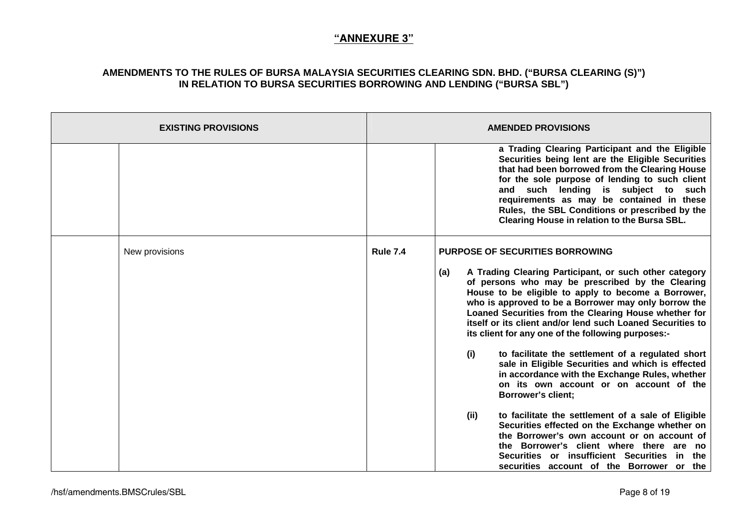| <b>EXISTING PROVISIONS</b> |                 | <b>AMENDED PROVISIONS</b>                                                                                                                                                                                                                                                                                                                                                                                     |
|----------------------------|-----------------|---------------------------------------------------------------------------------------------------------------------------------------------------------------------------------------------------------------------------------------------------------------------------------------------------------------------------------------------------------------------------------------------------------------|
|                            |                 | a Trading Clearing Participant and the Eligible<br>Securities being lent are the Eligible Securities<br>that had been borrowed from the Clearing House<br>for the sole purpose of lending to such client<br>and such lending is subject to such<br>requirements as may be contained in these<br>Rules, the SBL Conditions or prescribed by the<br>Clearing House in relation to the Bursa SBL.                |
| New provisions             | <b>Rule 7.4</b> | <b>PURPOSE OF SECURITIES BORROWING</b>                                                                                                                                                                                                                                                                                                                                                                        |
|                            |                 | A Trading Clearing Participant, or such other category<br>(a)<br>of persons who may be prescribed by the Clearing<br>House to be eligible to apply to become a Borrower,<br>who is approved to be a Borrower may only borrow the<br>Loaned Securities from the Clearing House whether for<br>itself or its client and/or lend such Loaned Securities to<br>its client for any one of the following purposes:- |
|                            |                 | (i)<br>to facilitate the settlement of a regulated short<br>sale in Eligible Securities and which is effected<br>in accordance with the Exchange Rules, whether<br>on its own account or on account of the<br><b>Borrower's client;</b>                                                                                                                                                                       |
|                            |                 | to facilitate the settlement of a sale of Eligible<br>(ii)<br>Securities effected on the Exchange whether on<br>the Borrower's own account or on account of<br>the Borrower's client where there are no<br>Securities or insufficient Securities in the<br>securities account of the Borrower or the                                                                                                          |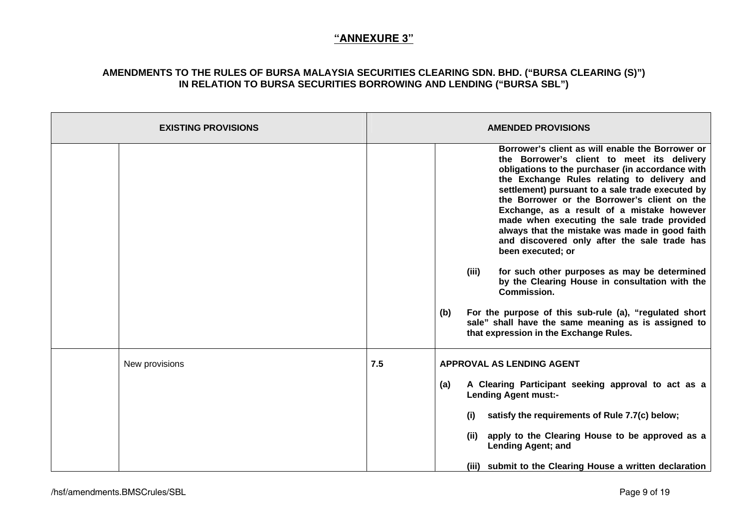| <b>EXISTING PROVISIONS</b> | <b>AMENDED PROVISIONS</b>                                                                                                                                                                                                                                                                                                                                                                                                                                                                                                                                                                                                                                                                                                                                                                                                    |
|----------------------------|------------------------------------------------------------------------------------------------------------------------------------------------------------------------------------------------------------------------------------------------------------------------------------------------------------------------------------------------------------------------------------------------------------------------------------------------------------------------------------------------------------------------------------------------------------------------------------------------------------------------------------------------------------------------------------------------------------------------------------------------------------------------------------------------------------------------------|
|                            | Borrower's client as will enable the Borrower or<br>the Borrower's client to meet its delivery<br>obligations to the purchaser (in accordance with<br>the Exchange Rules relating to delivery and<br>settlement) pursuant to a sale trade executed by<br>the Borrower or the Borrower's client on the<br>Exchange, as a result of a mistake however<br>made when executing the sale trade provided<br>always that the mistake was made in good faith<br>and discovered only after the sale trade has<br>been executed; or<br>for such other purposes as may be determined<br>(iii)<br>by the Clearing House in consultation with the<br><b>Commission.</b><br>For the purpose of this sub-rule (a), "regulated short<br>(b)<br>sale" shall have the same meaning as is assigned to<br>that expression in the Exchange Rules. |
| New provisions             | 7.5<br><b>APPROVAL AS LENDING AGENT</b>                                                                                                                                                                                                                                                                                                                                                                                                                                                                                                                                                                                                                                                                                                                                                                                      |
|                            | A Clearing Participant seeking approval to act as a<br>(a)<br><b>Lending Agent must:-</b>                                                                                                                                                                                                                                                                                                                                                                                                                                                                                                                                                                                                                                                                                                                                    |
|                            | satisfy the requirements of Rule 7.7(c) below;<br>(i)                                                                                                                                                                                                                                                                                                                                                                                                                                                                                                                                                                                                                                                                                                                                                                        |
|                            | apply to the Clearing House to be approved as a<br>(ii)<br><b>Lending Agent; and</b>                                                                                                                                                                                                                                                                                                                                                                                                                                                                                                                                                                                                                                                                                                                                         |
|                            | (iii) submit to the Clearing House a written declaration                                                                                                                                                                                                                                                                                                                                                                                                                                                                                                                                                                                                                                                                                                                                                                     |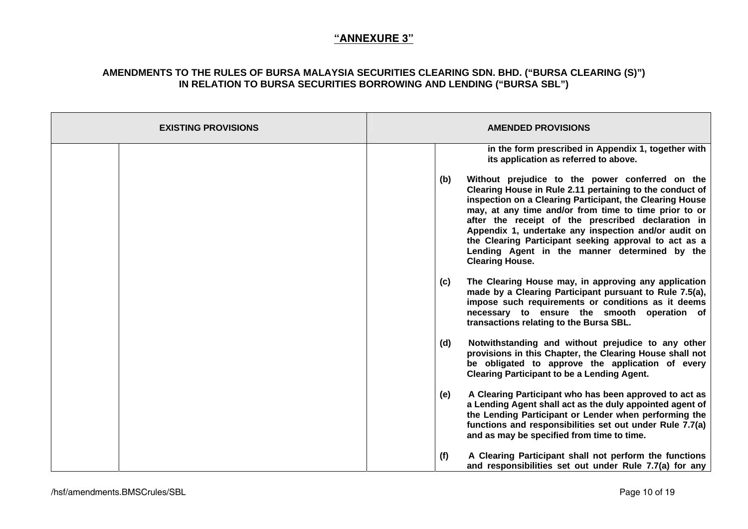| <b>EXISTING PROVISIONS</b> | <b>AMENDED PROVISIONS</b>                                                                                                                                                                                                                                                                                                                                                                                                                                                                 |
|----------------------------|-------------------------------------------------------------------------------------------------------------------------------------------------------------------------------------------------------------------------------------------------------------------------------------------------------------------------------------------------------------------------------------------------------------------------------------------------------------------------------------------|
|                            | in the form prescribed in Appendix 1, together with<br>its application as referred to above.                                                                                                                                                                                                                                                                                                                                                                                              |
|                            | Without prejudice to the power conferred on the<br>(b)<br>Clearing House in Rule 2.11 pertaining to the conduct of<br>inspection on a Clearing Participant, the Clearing House<br>may, at any time and/or from time to time prior to or<br>after the receipt of the prescribed declaration in<br>Appendix 1, undertake any inspection and/or audit on<br>the Clearing Participant seeking approval to act as a<br>Lending Agent in the manner determined by the<br><b>Clearing House.</b> |
|                            | The Clearing House may, in approving any application<br>(c)<br>made by a Clearing Participant pursuant to Rule 7.5(a),<br>impose such requirements or conditions as it deems<br>necessary to ensure the smooth operation of<br>transactions relating to the Bursa SBL.                                                                                                                                                                                                                    |
|                            | Notwithstanding and without prejudice to any other<br>(d)<br>provisions in this Chapter, the Clearing House shall not<br>be obligated to approve the application of every<br><b>Clearing Participant to be a Lending Agent.</b>                                                                                                                                                                                                                                                           |
|                            | (e)<br>A Clearing Participant who has been approved to act as<br>a Lending Agent shall act as the duly appointed agent of<br>the Lending Participant or Lender when performing the<br>functions and responsibilities set out under Rule 7.7(a)<br>and as may be specified from time to time.                                                                                                                                                                                              |
|                            | (f)<br>A Clearing Participant shall not perform the functions<br>and responsibilities set out under Rule 7.7(a) for any                                                                                                                                                                                                                                                                                                                                                                   |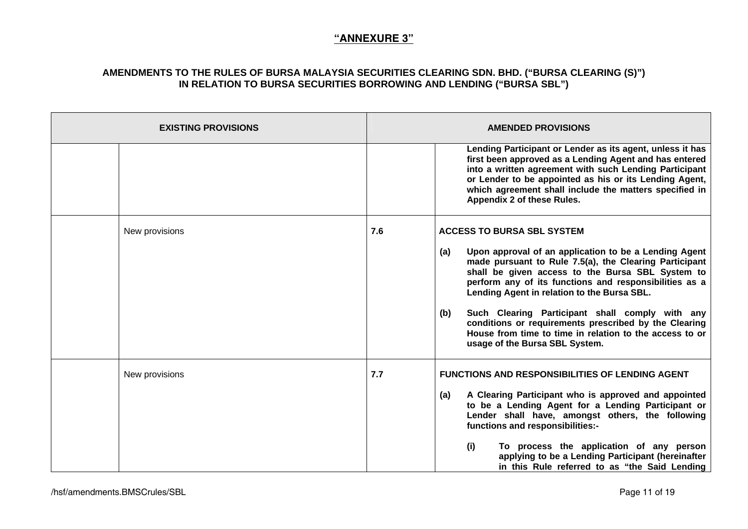| <b>EXISTING PROVISIONS</b> | <b>AMENDED PROVISIONS</b>                                                                                                                                                                                                                                                                                                                                                                                                                                                                                                                       |
|----------------------------|-------------------------------------------------------------------------------------------------------------------------------------------------------------------------------------------------------------------------------------------------------------------------------------------------------------------------------------------------------------------------------------------------------------------------------------------------------------------------------------------------------------------------------------------------|
|                            | Lending Participant or Lender as its agent, unless it has<br>first been approved as a Lending Agent and has entered<br>into a written agreement with such Lending Participant<br>or Lender to be appointed as his or its Lending Agent,<br>which agreement shall include the matters specified in<br>Appendix 2 of these Rules.                                                                                                                                                                                                                 |
| New provisions             | 7.6<br><b>ACCESS TO BURSA SBL SYSTEM</b><br>Upon approval of an application to be a Lending Agent<br>(a)<br>made pursuant to Rule 7.5(a), the Clearing Participant<br>shall be given access to the Bursa SBL System to<br>perform any of its functions and responsibilities as a<br>Lending Agent in relation to the Bursa SBL.<br>Such Clearing Participant shall comply with any<br>(b)<br>conditions or requirements prescribed by the Clearing<br>House from time to time in relation to the access to or<br>usage of the Bursa SBL System. |
| New provisions             | 7.7<br><b>FUNCTIONS AND RESPONSIBILITIES OF LENDING AGENT</b><br>A Clearing Participant who is approved and appointed<br>(a)<br>to be a Lending Agent for a Lending Participant or<br>Lender shall have, amongst others, the following<br>functions and responsibilities:-<br>(i)<br>To process the application of any person<br>applying to be a Lending Participant (hereinafter<br>in this Rule referred to as "the Said Lending                                                                                                             |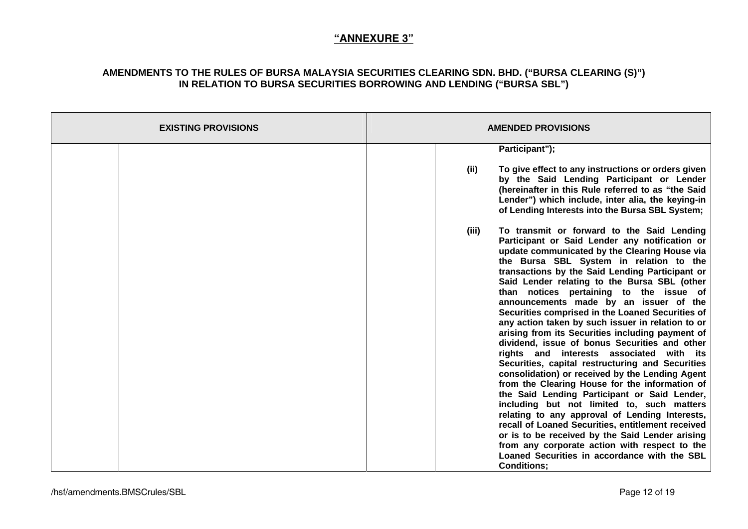| <b>EXISTING PROVISIONS</b> | <b>AMENDED PROVISIONS</b>                                                                                                                                                                                                                                                                                                                                                                                                                                                                                                                                                                                                                                                                                                                                                                                                                                                                                                                                                                                                                                                                                                                                                                   |
|----------------------------|---------------------------------------------------------------------------------------------------------------------------------------------------------------------------------------------------------------------------------------------------------------------------------------------------------------------------------------------------------------------------------------------------------------------------------------------------------------------------------------------------------------------------------------------------------------------------------------------------------------------------------------------------------------------------------------------------------------------------------------------------------------------------------------------------------------------------------------------------------------------------------------------------------------------------------------------------------------------------------------------------------------------------------------------------------------------------------------------------------------------------------------------------------------------------------------------|
|                            | Participant");                                                                                                                                                                                                                                                                                                                                                                                                                                                                                                                                                                                                                                                                                                                                                                                                                                                                                                                                                                                                                                                                                                                                                                              |
|                            | To give effect to any instructions or orders given<br>(iii)<br>by the Said Lending Participant or Lender<br>(hereinafter in this Rule referred to as "the Said<br>Lender") which include, inter alia, the keying-in<br>of Lending Interests into the Bursa SBL System;                                                                                                                                                                                                                                                                                                                                                                                                                                                                                                                                                                                                                                                                                                                                                                                                                                                                                                                      |
|                            | To transmit or forward to the Said Lending<br>(iii)<br>Participant or Said Lender any notification or<br>update communicated by the Clearing House via<br>the Bursa SBL System in relation to the<br>transactions by the Said Lending Participant or<br>Said Lender relating to the Bursa SBL (other<br>than notices pertaining to the issue of<br>announcements made by an issuer of the<br>Securities comprised in the Loaned Securities of<br>any action taken by such issuer in relation to or<br>arising from its Securities including payment of<br>dividend, issue of bonus Securities and other<br>rights and interests associated with its<br>Securities, capital restructuring and Securities<br>consolidation) or received by the Lending Agent<br>from the Clearing House for the information of<br>the Said Lending Participant or Said Lender,<br>including but not limited to, such matters<br>relating to any approval of Lending Interests,<br>recall of Loaned Securities, entitlement received<br>or is to be received by the Said Lender arising<br>from any corporate action with respect to the<br>Loaned Securities in accordance with the SBL<br><b>Conditions:</b> |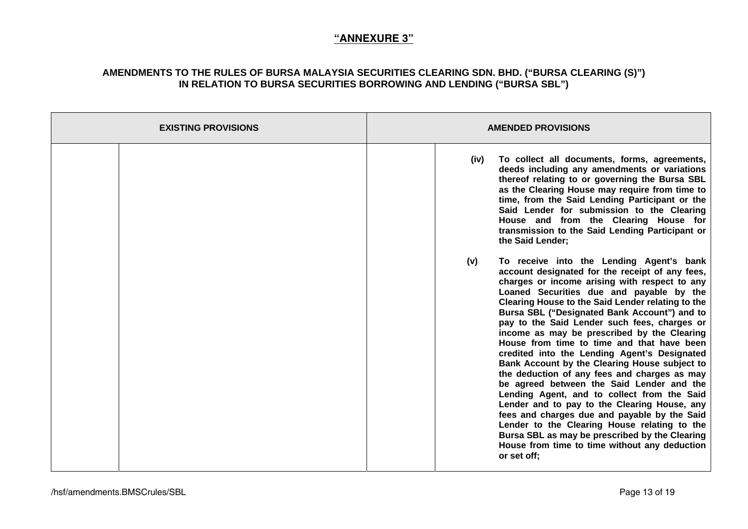| <b>EXISTING PROVISIONS</b> | <b>AMENDED PROVISIONS</b>                                                                                                                                                                                                                                                                                                                                                                                                                                                                                                                                                                                                                                                                                                                                                                                                                                                                                                                                        |
|----------------------------|------------------------------------------------------------------------------------------------------------------------------------------------------------------------------------------------------------------------------------------------------------------------------------------------------------------------------------------------------------------------------------------------------------------------------------------------------------------------------------------------------------------------------------------------------------------------------------------------------------------------------------------------------------------------------------------------------------------------------------------------------------------------------------------------------------------------------------------------------------------------------------------------------------------------------------------------------------------|
|                            | To collect all documents, forms, agreements,<br>(iv)<br>deeds including any amendments or variations<br>thereof relating to or governing the Bursa SBL<br>as the Clearing House may require from time to<br>time, from the Said Lending Participant or the<br>Said Lender for submission to the Clearing<br>House and from the Clearing House for<br>transmission to the Said Lending Participant or<br>the Said Lender;                                                                                                                                                                                                                                                                                                                                                                                                                                                                                                                                         |
|                            | (v)<br>To receive into the Lending Agent's bank<br>account designated for the receipt of any fees,<br>charges or income arising with respect to any<br>Loaned Securities due and payable by the<br>Clearing House to the Said Lender relating to the<br>Bursa SBL ("Designated Bank Account") and to<br>pay to the Said Lender such fees, charges or<br>income as may be prescribed by the Clearing<br>House from time to time and that have been<br>credited into the Lending Agent's Designated<br>Bank Account by the Clearing House subject to<br>the deduction of any fees and charges as may<br>be agreed between the Said Lender and the<br>Lending Agent, and to collect from the Said<br>Lender and to pay to the Clearing House, any<br>fees and charges due and payable by the Said<br>Lender to the Clearing House relating to the<br>Bursa SBL as may be prescribed by the Clearing<br>House from time to time without any deduction<br>or set off; |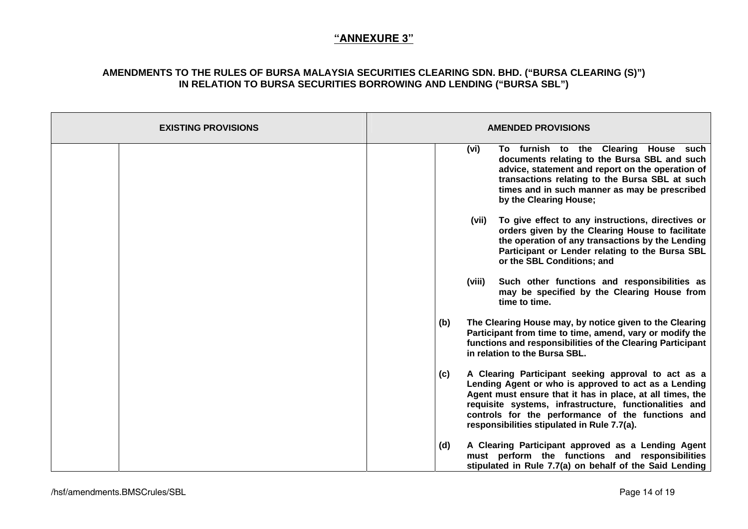| <b>EXISTING PROVISIONS</b> | <b>AMENDED PROVISIONS</b>                                                                                                                                                                                                                                                                                                                     |
|----------------------------|-----------------------------------------------------------------------------------------------------------------------------------------------------------------------------------------------------------------------------------------------------------------------------------------------------------------------------------------------|
|                            | To furnish to the Clearing House such<br>(vi)<br>documents relating to the Bursa SBL and such<br>advice, statement and report on the operation of<br>transactions relating to the Bursa SBL at such<br>times and in such manner as may be prescribed<br>by the Clearing House;                                                                |
|                            | (vii)<br>To give effect to any instructions, directives or<br>orders given by the Clearing House to facilitate<br>the operation of any transactions by the Lending<br>Participant or Lender relating to the Bursa SBL<br>or the SBL Conditions; and                                                                                           |
|                            | Such other functions and responsibilities as<br>(viii)<br>may be specified by the Clearing House from<br>time to time.                                                                                                                                                                                                                        |
|                            | The Clearing House may, by notice given to the Clearing<br>(b)<br>Participant from time to time, amend, vary or modify the<br>functions and responsibilities of the Clearing Participant<br>in relation to the Bursa SBL.                                                                                                                     |
|                            | A Clearing Participant seeking approval to act as a<br>(c)<br>Lending Agent or who is approved to act as a Lending<br>Agent must ensure that it has in place, at all times, the<br>requisite systems, infrastructure, functionalities and<br>controls for the performance of the functions and<br>responsibilities stipulated in Rule 7.7(a). |
|                            | A Clearing Participant approved as a Lending Agent<br>(d)<br>must perform the functions and responsibilities<br>stipulated in Rule 7.7(a) on behalf of the Said Lending                                                                                                                                                                       |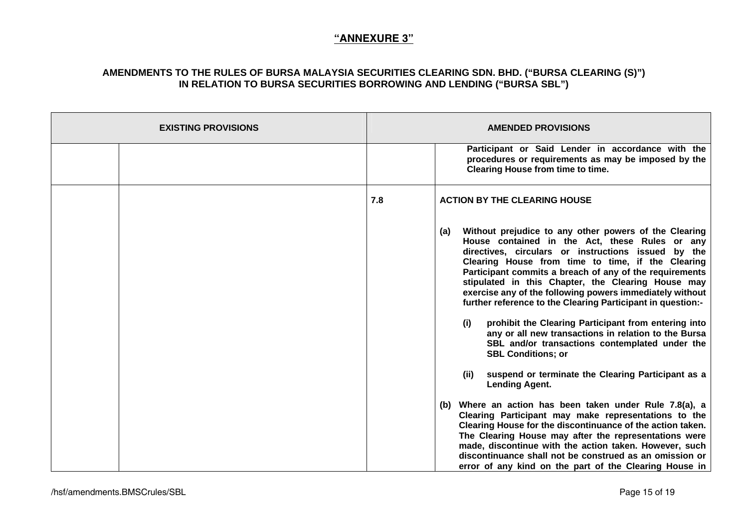| <b>EXISTING PROVISIONS</b> |     | <b>AMENDED PROVISIONS</b>                                                                                                                                                                                                                                                                                                                                                                                                                                                                                                                                                                                                                                                                                                                                           |
|----------------------------|-----|---------------------------------------------------------------------------------------------------------------------------------------------------------------------------------------------------------------------------------------------------------------------------------------------------------------------------------------------------------------------------------------------------------------------------------------------------------------------------------------------------------------------------------------------------------------------------------------------------------------------------------------------------------------------------------------------------------------------------------------------------------------------|
|                            |     | Participant or Said Lender in accordance with the<br>procedures or requirements as may be imposed by the<br><b>Clearing House from time to time.</b>                                                                                                                                                                                                                                                                                                                                                                                                                                                                                                                                                                                                                |
|                            | 7.8 | <b>ACTION BY THE CLEARING HOUSE</b>                                                                                                                                                                                                                                                                                                                                                                                                                                                                                                                                                                                                                                                                                                                                 |
|                            |     | Without prejudice to any other powers of the Clearing<br>(a)<br>House contained in the Act, these Rules or any<br>directives, circulars or instructions issued by the<br>Clearing House from time to time, if the Clearing<br>Participant commits a breach of any of the requirements<br>stipulated in this Chapter, the Clearing House may<br>exercise any of the following powers immediately without<br>further reference to the Clearing Participant in question:-<br>prohibit the Clearing Participant from entering into<br>(i)<br>any or all new transactions in relation to the Bursa<br>SBL and/or transactions contemplated under the<br><b>SBL Conditions; or</b><br>suspend or terminate the Clearing Participant as a<br>(ii)<br><b>Lending Agent.</b> |
|                            |     | (b) Where an action has been taken under Rule 7.8(a), a<br>Clearing Participant may make representations to the<br>Clearing House for the discontinuance of the action taken.<br>The Clearing House may after the representations were<br>made, discontinue with the action taken. However, such<br>discontinuance shall not be construed as an omission or<br>error of any kind on the part of the Clearing House in                                                                                                                                                                                                                                                                                                                                               |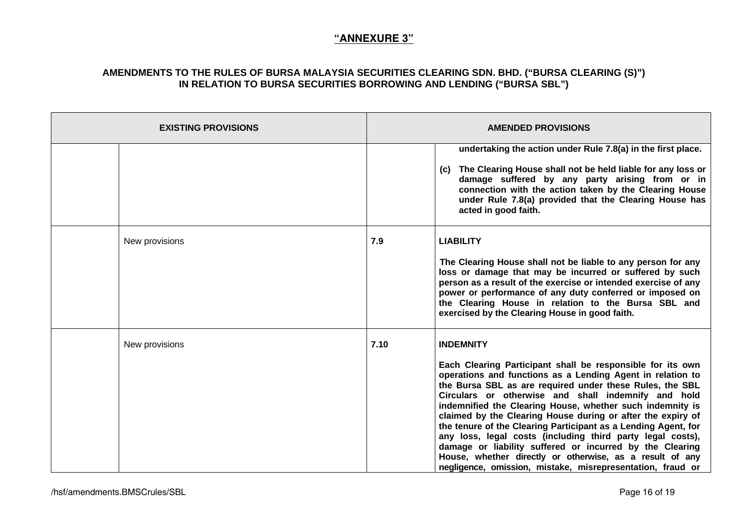| <b>EXISTING PROVISIONS</b> | <b>AMENDED PROVISIONS</b>                                                                                                                                                                                                                                                                                                                                                                                                                                                                                                                                                                                                                                                                                                 |
|----------------------------|---------------------------------------------------------------------------------------------------------------------------------------------------------------------------------------------------------------------------------------------------------------------------------------------------------------------------------------------------------------------------------------------------------------------------------------------------------------------------------------------------------------------------------------------------------------------------------------------------------------------------------------------------------------------------------------------------------------------------|
|                            | undertaking the action under Rule 7.8(a) in the first place.<br>The Clearing House shall not be held liable for any loss or<br>(C)<br>damage suffered by any party arising from or in<br>connection with the action taken by the Clearing House<br>under Rule 7.8(a) provided that the Clearing House has<br>acted in good faith.                                                                                                                                                                                                                                                                                                                                                                                         |
| New provisions             | 7.9<br><b>LIABILITY</b><br>The Clearing House shall not be liable to any person for any<br>loss or damage that may be incurred or suffered by such<br>person as a result of the exercise or intended exercise of any<br>power or performance of any duty conferred or imposed on<br>the Clearing House in relation to the Bursa SBL and<br>exercised by the Clearing House in good faith.                                                                                                                                                                                                                                                                                                                                 |
| New provisions             | 7.10<br><b>INDEMNITY</b><br>Each Clearing Participant shall be responsible for its own<br>operations and functions as a Lending Agent in relation to<br>the Bursa SBL as are required under these Rules, the SBL<br>Circulars or otherwise and shall indemnify and hold<br>indemnified the Clearing House, whether such indemnity is<br>claimed by the Clearing House during or after the expiry of<br>the tenure of the Clearing Participant as a Lending Agent, for<br>any loss, legal costs (including third party legal costs),<br>damage or liability suffered or incurred by the Clearing<br>House, whether directly or otherwise, as a result of any<br>negligence, omission, mistake, misrepresentation, fraud or |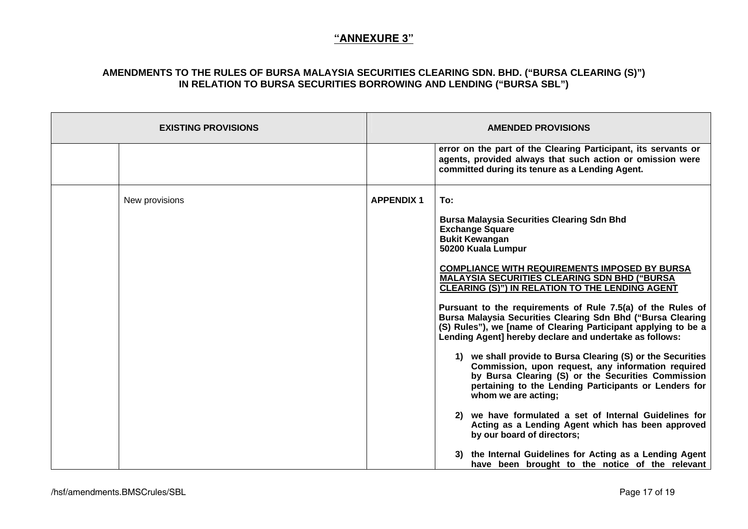| <b>EXISTING PROVISIONS</b> | <b>AMENDED PROVISIONS</b>                                                                                                                                                                                                                                                                                                                                                                                                                                                                                                                                                           |
|----------------------------|-------------------------------------------------------------------------------------------------------------------------------------------------------------------------------------------------------------------------------------------------------------------------------------------------------------------------------------------------------------------------------------------------------------------------------------------------------------------------------------------------------------------------------------------------------------------------------------|
|                            | error on the part of the Clearing Participant, its servants or<br>agents, provided always that such action or omission were<br>committed during its tenure as a Lending Agent.                                                                                                                                                                                                                                                                                                                                                                                                      |
| New provisions             | To:<br><b>APPENDIX 1</b><br><b>Bursa Malaysia Securities Clearing Sdn Bhd</b><br><b>Exchange Square</b><br><b>Bukit Kewangan</b><br>50200 Kuala Lumpur<br><b>COMPLIANCE WITH REQUIREMENTS IMPOSED BY BURSA</b><br><b>MALAYSIA SECURITIES CLEARING SDN BHD ("BURSA</b><br>CLEARING (S)") IN RELATION TO THE LENDING AGENT<br>Pursuant to the requirements of Rule 7.5(a) of the Rules of<br>Bursa Malaysia Securities Clearing Sdn Bhd ("Bursa Clearing<br>(S) Rules"), we [name of Clearing Participant applying to be a<br>Lending Agent] hereby declare and undertake as follows: |
|                            | 1) we shall provide to Bursa Clearing (S) or the Securities<br>Commission, upon request, any information required<br>by Bursa Clearing (S) or the Securities Commission<br>pertaining to the Lending Participants or Lenders for<br>whom we are acting;<br>2) we have formulated a set of Internal Guidelines for<br>Acting as a Lending Agent which has been approved<br>by our board of directors;<br>3) the Internal Guidelines for Acting as a Lending Agent<br>have been brought to the notice of the relevant                                                                 |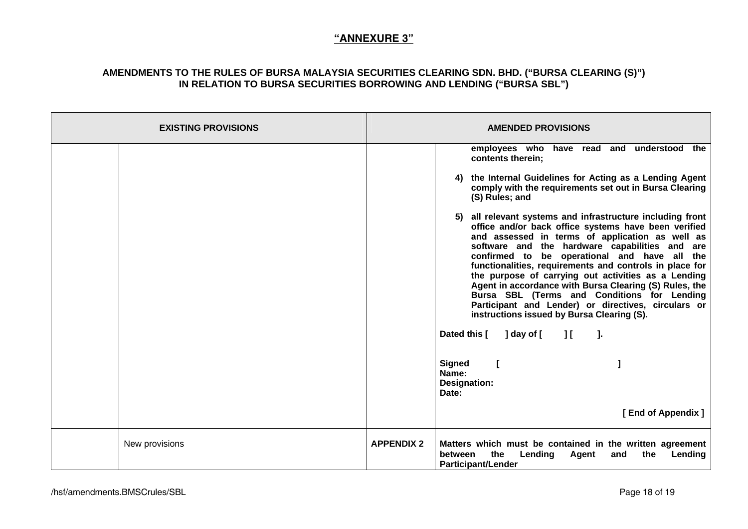| <b>EXISTING PROVISIONS</b> | <b>AMENDED PROVISIONS</b>                                                                                                                                                                                                                                                                                                                                                                                                                                                                                                                                                                               |
|----------------------------|---------------------------------------------------------------------------------------------------------------------------------------------------------------------------------------------------------------------------------------------------------------------------------------------------------------------------------------------------------------------------------------------------------------------------------------------------------------------------------------------------------------------------------------------------------------------------------------------------------|
|                            | employees who have read and understood the<br>contents therein;                                                                                                                                                                                                                                                                                                                                                                                                                                                                                                                                         |
|                            | 4) the Internal Guidelines for Acting as a Lending Agent<br>comply with the requirements set out in Bursa Clearing<br>(S) Rules; and                                                                                                                                                                                                                                                                                                                                                                                                                                                                    |
|                            | 5) all relevant systems and infrastructure including front<br>office and/or back office systems have been verified<br>and assessed in terms of application as well as<br>software and the hardware capabilities and are<br>confirmed to be operational and have all the<br>functionalities, requirements and controls in place for<br>the purpose of carrying out activities as a Lending<br>Agent in accordance with Bursa Clearing (S) Rules, the<br>Bursa SBL (Terms and Conditions for Lending<br>Participant and Lender) or directives, circulars or<br>instructions issued by Bursa Clearing (S). |
|                            | Dated this [ ] day of [ ] [ ].                                                                                                                                                                                                                                                                                                                                                                                                                                                                                                                                                                          |
|                            | <b>Signed</b><br>$\mathbf{L}$<br>Name:<br><b>Designation:</b><br>Date:                                                                                                                                                                                                                                                                                                                                                                                                                                                                                                                                  |
|                            | [End of Appendix ]                                                                                                                                                                                                                                                                                                                                                                                                                                                                                                                                                                                      |
| New provisions             | <b>APPENDIX 2</b><br>Matters which must be contained in the written agreement<br>the<br><b>Lending Agent</b><br>and<br>the<br>Lending<br>between<br><b>Participant/Lender</b>                                                                                                                                                                                                                                                                                                                                                                                                                           |